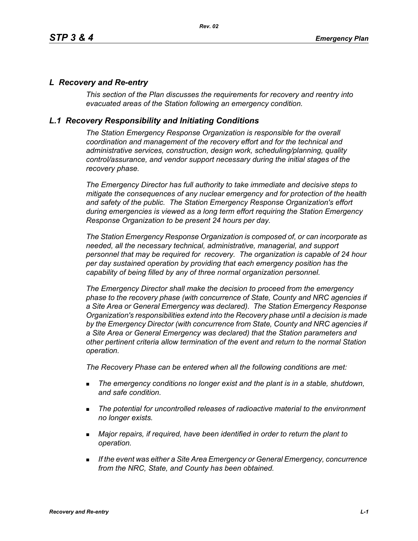#### *L Recovery and Re-entry*

*This section of the Plan discusses the requirements for recovery and reentry into evacuated areas of the Station following an emergency condition.* 

#### *L.1 Recovery Responsibility and Initiating Conditions*

*The Station Emergency Response Organization is responsible for the overall coordination and management of the recovery effort and for the technical and administrative services, construction, design work, scheduling/planning, quality control/assurance, and vendor support necessary during the initial stages of the recovery phase.*

*The Emergency Director has full authority to take immediate and decisive steps to mitigate the consequences of any nuclear emergency and for protection of the health and safety of the public. The Station Emergency Response Organization's effort during emergencies is viewed as a long term effort requiring the Station Emergency Response Organization to be present 24 hours per day.*

*The Station Emergency Response Organization is composed of, or can incorporate as needed, all the necessary technical, administrative, managerial, and support personnel that may be required for recovery. The organization is capable of 24 hour per day sustained operation by providing that each emergency position has the capability of being filled by any of three normal organization personnel.*

*The Emergency Director shall make the decision to proceed from the emergency phase to the recovery phase (with concurrence of State, County and NRC agencies if a Site Area or General Emergency was declared). The Station Emergency Response Organization's responsibilities extend into the Recovery phase until a decision is made by the Emergency Director (with concurrence from State, County and NRC agencies if a Site Area or General Emergency was declared) that the Station parameters and other pertinent criteria allow termination of the event and return to the normal Station operation.*

*The Recovery Phase can be entered when all the following conditions are met:*

- *The emergency conditions no longer exist and the plant is in a stable, shutdown, and safe condition.*
- *The potential for uncontrolled releases of radioactive material to the environment no longer exists.*
- *Major repairs, if required, have been identified in order to return the plant to operation.*
- *If the event was either a Site Area Emergency or General Emergency, concurrence from the NRC, State, and County has been obtained.*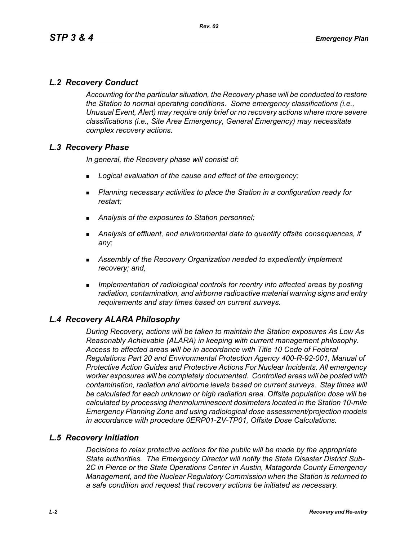# *L.2 Recovery Conduct*

*Accounting for the particular situation, the Recovery phase will be conducted to restore the Station to normal operating conditions. Some emergency classifications (i.e., Unusual Event, Alert) may require only brief or no recovery actions where more severe classifications (i.e., Site Area Emergency, General Emergency) may necessitate complex recovery actions.*

## *L.3 Recovery Phase*

*In general, the Recovery phase will consist of:*

- *Logical evaluation of the cause and effect of the emergency;*
- *Planning necessary activities to place the Station in a configuration ready for restart;*
- *Analysis of the exposures to Station personnel;*
- *Analysis of effluent, and environmental data to quantify offsite consequences, if any;*
- *Assembly of the Recovery Organization needed to expediently implement recovery; and,*
- *Implementation of radiological controls for reentry into affected areas by posting radiation, contamination, and airborne radioactive material warning signs and entry requirements and stay times based on current surveys.*

## *L.4 Recovery ALARA Philosophy*

*During Recovery, actions will be taken to maintain the Station exposures As Low As Reasonably Achievable (ALARA) in keeping with current management philosophy. Access to affected areas will be in accordance with Title 10 Code of Federal Regulations Part 20 and Environmental Protection Agency 400-R-92-001, Manual of Protective Action Guides and Protective Actions For Nuclear Incidents. All emergency worker exposures will be completely documented. Controlled areas will be posted with contamination, radiation and airborne levels based on current surveys. Stay times will be calculated for each unknown or high radiation area. Offsite population dose will be calculated by processing thermoluminescent dosimeters located in the Station 10-mile Emergency Planning Zone and using radiological dose assessment/projection models in accordance with procedure 0ERP01-ZV-TP01, Offsite Dose Calculations.*

#### *L.5 Recovery Initiation*

*Decisions to relax protective actions for the public will be made by the appropriate State authorities. The Emergency Director will notify the State Disaster District Sub-2C in Pierce or the State Operations Center in Austin, Matagorda County Emergency Management, and the Nuclear Regulatory Commission when the Station is returned to a safe condition and request that recovery actions be initiated as necessary.*